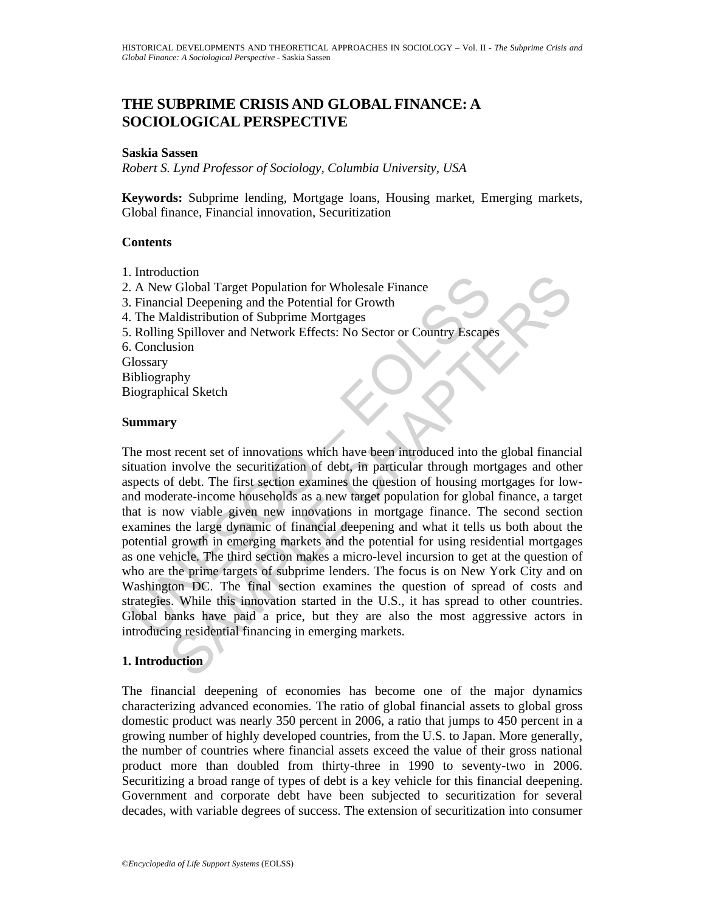# **THE SUBPRIME CRISIS AND GLOBAL FINANCE: A SOCIOLOGICAL PERSPECTIVE**

### **Saskia Sassen**

*Robert S. Lynd Professor of Sociology, Columbia University, USA* 

**Keywords:** Subprime lending, Mortgage loans, Housing market, Emerging markets, Global finance, Financial innovation, Securitization

## **Contents**

- 1. Introduction
- 2. A New Global Target Population for Wholesale Finance
- 3. Financial Deepening and the Potential for Growth
- 4. The Maldistribution of Subprime Mortgages
- 5. Rolling Spillover and Network Effects: No Sector or Country Escapes
- 6. Conclusion

**Glossary** 

- Bibliography
- Biographical Sketch

### **Summary**

I muoduction<br>
I. A New Global Target Population for Wholesale Finance<br>
Financial Deepening and the Potential for Growth<br>
The Maldistribution of Subprime Mortgages<br>
Rolling Spillover and Network Effects: No Sector or Countr Lection<br>
Ciobal Target Population for Wholesale Finance<br>
Ciobal Target Population for Wholesale Finance<br>
ial Deepening and the Potential for Growth<br>
g Spillover and Network Effects: No Sector or Country Escapes<br>
usion<br>
uph The most recent set of innovations which have been introduced into the global financial situation involve the securitization of debt, in particular through mortgages and other aspects of debt. The first section examines the question of housing mortgages for lowand moderate-income households as a new target population for global finance, a target that is now viable given new innovations in mortgage finance. The second section examines the large dynamic of financial deepening and what it tells us both about the potential growth in emerging markets and the potential for using residential mortgages as one vehicle. The third section makes a micro-level incursion to get at the question of who are the prime targets of subprime lenders. The focus is on New York City and on Washington DC. The final section examines the question of spread of costs and strategies. While this innovation started in the U.S., it has spread to other countries. Global banks have paid a price, but they are also the most aggressive actors in introducing residential financing in emerging markets.

# **1. Introduction**

The financial deepening of economies has become one of the major dynamics characterizing advanced economies. The ratio of global financial assets to global gross domestic product was nearly 350 percent in 2006, a ratio that jumps to 450 percent in a growing number of highly developed countries, from the U.S. to Japan. More generally, the number of countries where financial assets exceed the value of their gross national product more than doubled from thirty-three in 1990 to seventy-two in 2006. Securitizing a broad range of types of debt is a key vehicle for this financial deepening. Government and corporate debt have been subjected to securitization for several decades, with variable degrees of success. The extension of securitization into consumer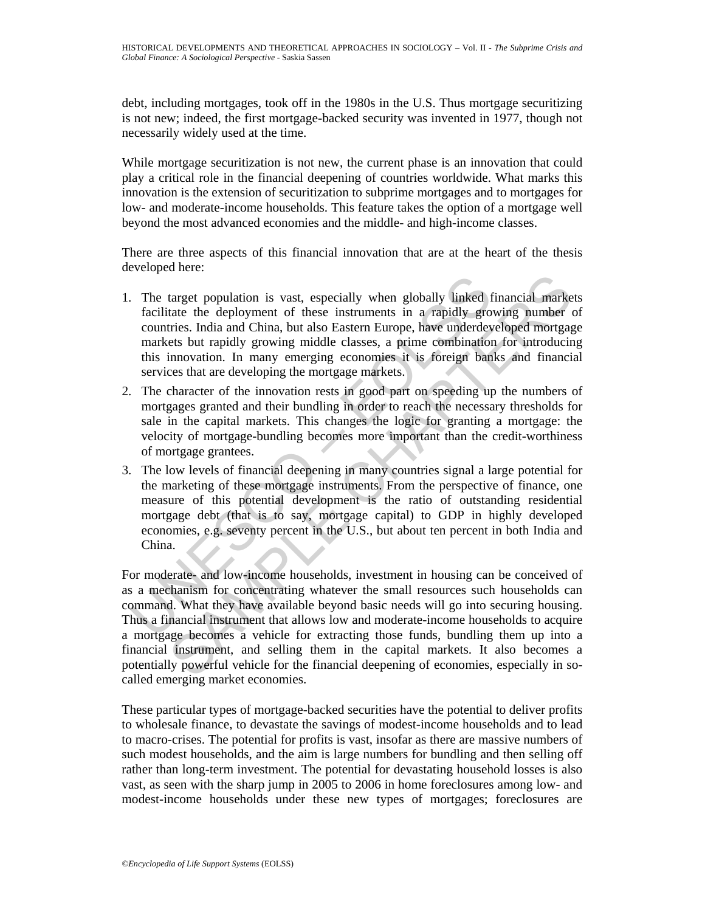debt, including mortgages, took off in the 1980s in the U.S. Thus mortgage securitizing is not new; indeed, the first mortgage-backed security was invented in 1977, though not necessarily widely used at the time.

While mortgage securitization is not new, the current phase is an innovation that could play a critical role in the financial deepening of countries worldwide. What marks this innovation is the extension of securitization to subprime mortgages and to mortgages for low- and moderate-income households. This feature takes the option of a mortgage well beyond the most advanced economies and the middle- and high-income classes.

There are three aspects of this financial innovation that are at the heart of the thesis developed here:

- 1. The target population is vast, especially when globally linked financial markets facilitate the deployment of these instruments in a rapidly growing number of countries. India and China, but also Eastern Europe, have underdeveloped mortgage markets but rapidly growing middle classes, a prime combination for introducing this innovation. In many emerging economies it is foreign banks and financial services that are developing the mortgage markets.
- 2. The character of the innovation rests in good part on speeding up the numbers of mortgages granted and their bundling in order to reach the necessary thresholds for sale in the capital markets. This changes the logic for granting a mortgage: the velocity of mortgage-bundling becomes more important than the credit-worthiness of mortgage grantees.
- The target population is vast, especially when globally linked<br>facilitate the deployment of these instruments in a rapidly gro<br>countries. India and China, but also Eastern Europe, have underdeve<br>markets but rapidly growing 3. The low levels of financial deepening in many countries signal a large potential for the marketing of these mortgage instruments. From the perspective of finance, one measure of this potential development is the ratio of outstanding residential mortgage debt (that is to say, mortgage capital) to GDP in highly developed economies, e.g. seventy percent in the U.S., but about ten percent in both India and China.

target population is vast, especially when globally linked financial market<br>ate the deployment of these instruments in a rapidly growing number<br>directions. India and China, but also Eastern Europe, have underdeveloped mort For moderate- and low-income households, investment in housing can be conceived of as a mechanism for concentrating whatever the small resources such households can command. What they have available beyond basic needs will go into securing housing. Thus a financial instrument that allows low and moderate-income households to acquire a mortgage becomes a vehicle for extracting those funds, bundling them up into a financial instrument, and selling them in the capital markets. It also becomes a potentially powerful vehicle for the financial deepening of economies, especially in socalled emerging market economies.

These particular types of mortgage-backed securities have the potential to deliver profits to wholesale finance, to devastate the savings of modest-income households and to lead to macro-crises. The potential for profits is vast, insofar as there are massive numbers of such modest households, and the aim is large numbers for bundling and then selling off rather than long-term investment. The potential for devastating household losses is also vast, as seen with the sharp jump in 2005 to 2006 in home foreclosures among low- and modest-income households under these new types of mortgages; foreclosures are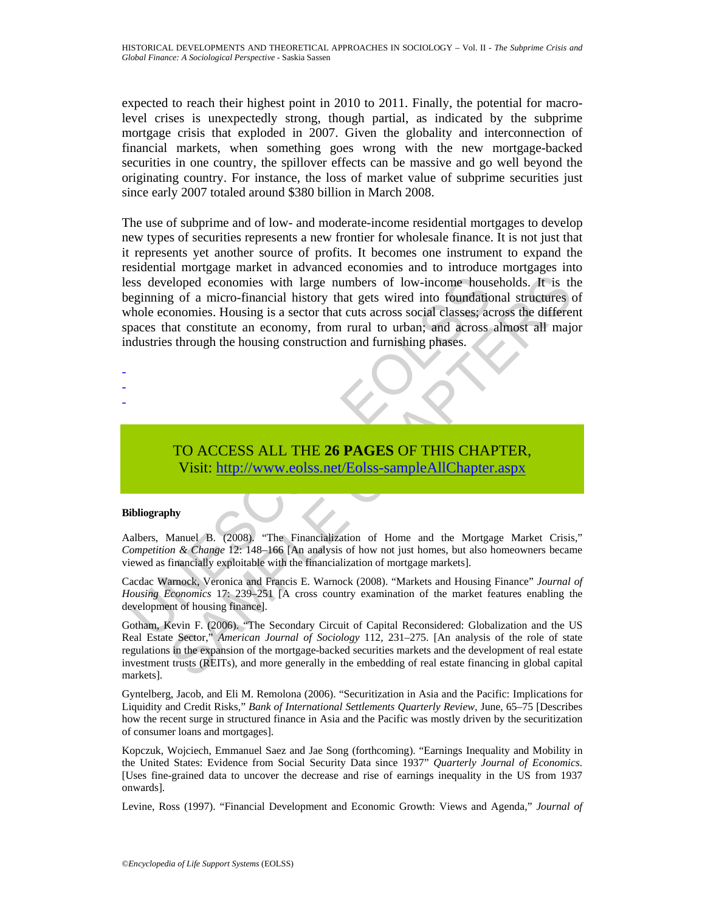expected to reach their highest point in 2010 to 2011. Finally, the potential for macrolevel crises is unexpectedly strong, though partial, as indicated by the subprime mortgage crisis that exploded in 2007. Given the globality and interconnection of financial markets, when something goes wrong with the new mortgage-backed securities in one country, the spillover effects can be massive and go well beyond the originating country. For instance, the loss of market value of subprime securities just since early 2007 totaled around \$380 billion in March 2008.

ss developed economies with large numbers of low-income hous<br>eginning of a micro-financial history that gets wired into foundatio<br>hole economies. Housing is a sector that cuts across social classes; a<br>consumed and consisti eloped economies with large numbers of low-income households. It is the growth and gradient metally in the strong is a sector that cuts arcross social classes, across and district and conomics. Housing is a sector that cut The use of subprime and of low- and moderate-income residential mortgages to develop new types of securities represents a new frontier for wholesale finance. It is not just that it represents yet another source of profits. It becomes one instrument to expand the residential mortgage market in advanced economies and to introduce mortgages into less developed economies with large numbers of low-income households. It is the beginning of a micro-financial history that gets wired into foundational structures of whole economies. Housing is a sector that cuts across social classes; across the different spaces that constitute an economy, from rural to urban; and across almost all major industries through the housing construction and furnishing phases.

- -
- -
- -

# TO ACCESS ALL THE **26 PAGES** OF THIS CHAPTER, Visit: http://www.eolss.net/Eolss-sampleAllChapter.aspx

### **Bibliography**

Aalbers, Manuel B. (2008). "The Financialization of Home and the Mortgage Market Crisis," *Competition & Change* 12: 148–166 [An analysis of how not just homes, but also homeowners became viewed as financially exploitable with the financialization of mortgage markets].

Cacdac Warnock, Veronica and Francis E. Warnock (2008). "Markets and Housing Finance" *Journal of Housing Economics* 17: 239–251 [A cross country examination of the market features enabling the development of housing finance].

Gotham, Kevin F. (2006). "The Secondary Circuit of Capital Reconsidered: Globalization and the US Real Estate Sector," *American Journal of Sociology* 112, 231–275. [An analysis of the role of state regulations in the expansion of the mortgage-backed securities markets and the development of real estate investment trusts (REITs), and more generally in the embedding of real estate financing in global capital markets].

Gyntelberg, Jacob, and Eli M. Remolona (2006). "Securitization in Asia and the Pacific: Implications for Liquidity and Credit Risks," *Bank of International Settlements Quarterly Review*, June, 65–75 [Describes how the recent surge in structured finance in Asia and the Pacific was mostly driven by the securitization of consumer loans and mortgages].

Kopczuk, Wojciech, Emmanuel Saez and Jae Song (forthcoming). "Earnings Inequality and Mobility in the United States: Evidence from Social Security Data since 1937" *Quarterly Journal of Economics*. [Uses fine-grained data to uncover the decrease and rise of earnings inequality in the US from 1937 onwards].

Levine, Ross (1997). "Financial Development and Economic Growth: Views and Agenda," *Journal of*